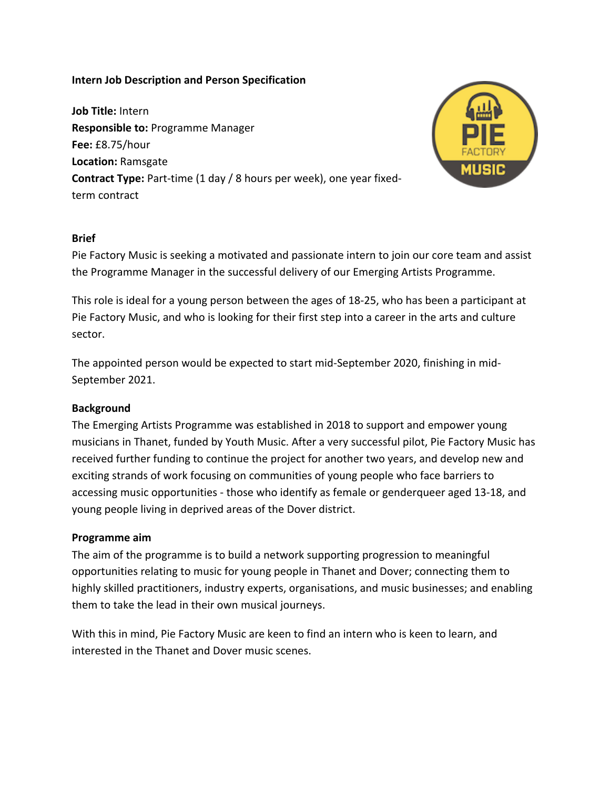## **Intern Job Description and Person Specification**

**Job Title: Intern Responsible to: Programme Manager Fee:** £8.75/hour **Location:** Ramsgate **Contract Type:** Part-time (1 day / 8 hours per week), one year fixedterm contract 



## **Brief**

Pie Factory Music is seeking a motivated and passionate intern to join our core team and assist the Programme Manager in the successful delivery of our Emerging Artists Programme.

This role is ideal for a young person between the ages of 18-25, who has been a participant at Pie Factory Music, and who is looking for their first step into a career in the arts and culture sector.

The appointed person would be expected to start mid-September 2020, finishing in mid-September 2021.

# **Background**

The Emerging Artists Programme was established in 2018 to support and empower young musicians in Thanet, funded by Youth Music. After a very successful pilot, Pie Factory Music has received further funding to continue the project for another two years, and develop new and exciting strands of work focusing on communities of young people who face barriers to accessing music opportunities - those who identify as female or genderqueer aged 13-18, and young people living in deprived areas of the Dover district.

#### **Programme aim**

The aim of the programme is to build a network supporting progression to meaningful opportunities relating to music for young people in Thanet and Dover; connecting them to highly skilled practitioners, industry experts, organisations, and music businesses; and enabling them to take the lead in their own musical journeys.

With this in mind, Pie Factory Music are keen to find an intern who is keen to learn, and interested in the Thanet and Dover music scenes.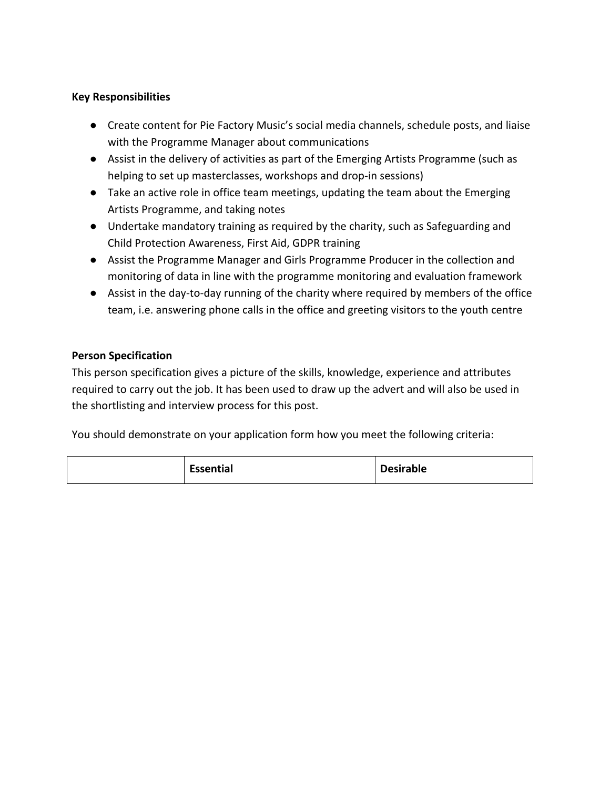## **Key Responsibilities**

- Create content for Pie Factory Music's social media channels, schedule posts, and liaise with the Programme Manager about communications
- Assist in the delivery of activities as part of the Emerging Artists Programme (such as helping to set up masterclasses, workshops and drop-in sessions)
- $\bullet$  Take an active role in office team meetings, updating the team about the Emerging Artists Programme, and taking notes
- Undertake mandatory training as required by the charity, such as Safeguarding and Child Protection Awareness, First Aid, GDPR training
- Assist the Programme Manager and Girls Programme Producer in the collection and monitoring of data in line with the programme monitoring and evaluation framework
- Assist in the day-to-day running of the charity where required by members of the office team, i.e. answering phone calls in the office and greeting visitors to the youth centre

# **Person Specification**

This person specification gives a picture of the skills, knowledge, experience and attributes required to carry out the job. It has been used to draw up the advert and will also be used in the shortlisting and interview process for this post.

You should demonstrate on your application form how you meet the following criteria:

| <b>Essential</b><br><b>Desirable</b> |  |
|--------------------------------------|--|
|--------------------------------------|--|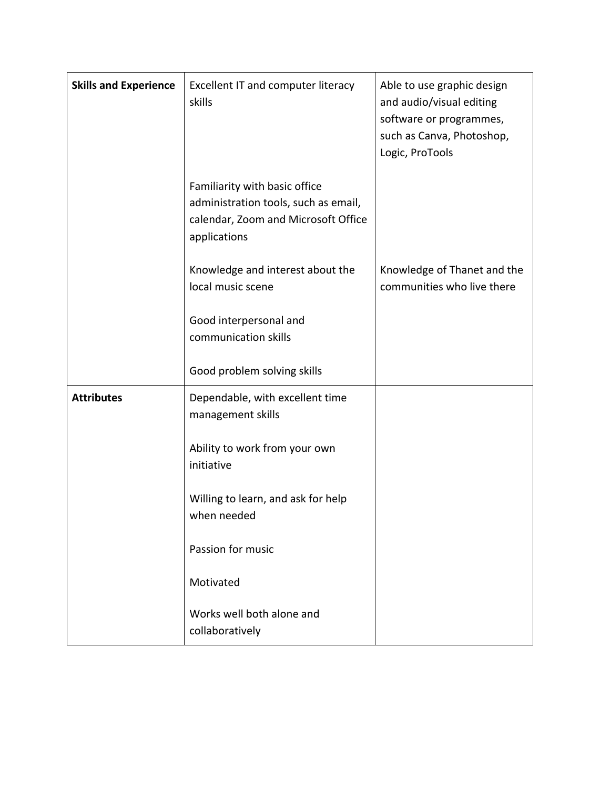| <b>Skills and Experience</b> | Excellent IT and computer literacy<br>skills                                                                                 | Able to use graphic design<br>and audio/visual editing<br>software or programmes,<br>such as Canva, Photoshop,<br>Logic, ProTools |
|------------------------------|------------------------------------------------------------------------------------------------------------------------------|-----------------------------------------------------------------------------------------------------------------------------------|
|                              | Familiarity with basic office<br>administration tools, such as email,<br>calendar, Zoom and Microsoft Office<br>applications |                                                                                                                                   |
|                              | Knowledge and interest about the<br>local music scene                                                                        | Knowledge of Thanet and the<br>communities who live there                                                                         |
|                              | Good interpersonal and<br>communication skills                                                                               |                                                                                                                                   |
|                              | Good problem solving skills                                                                                                  |                                                                                                                                   |
| <b>Attributes</b>            | Dependable, with excellent time<br>management skills                                                                         |                                                                                                                                   |
|                              | Ability to work from your own<br>initiative                                                                                  |                                                                                                                                   |
|                              | Willing to learn, and ask for help<br>when needed                                                                            |                                                                                                                                   |
|                              | Passion for music                                                                                                            |                                                                                                                                   |
|                              | Motivated                                                                                                                    |                                                                                                                                   |
|                              | Works well both alone and<br>collaboratively                                                                                 |                                                                                                                                   |